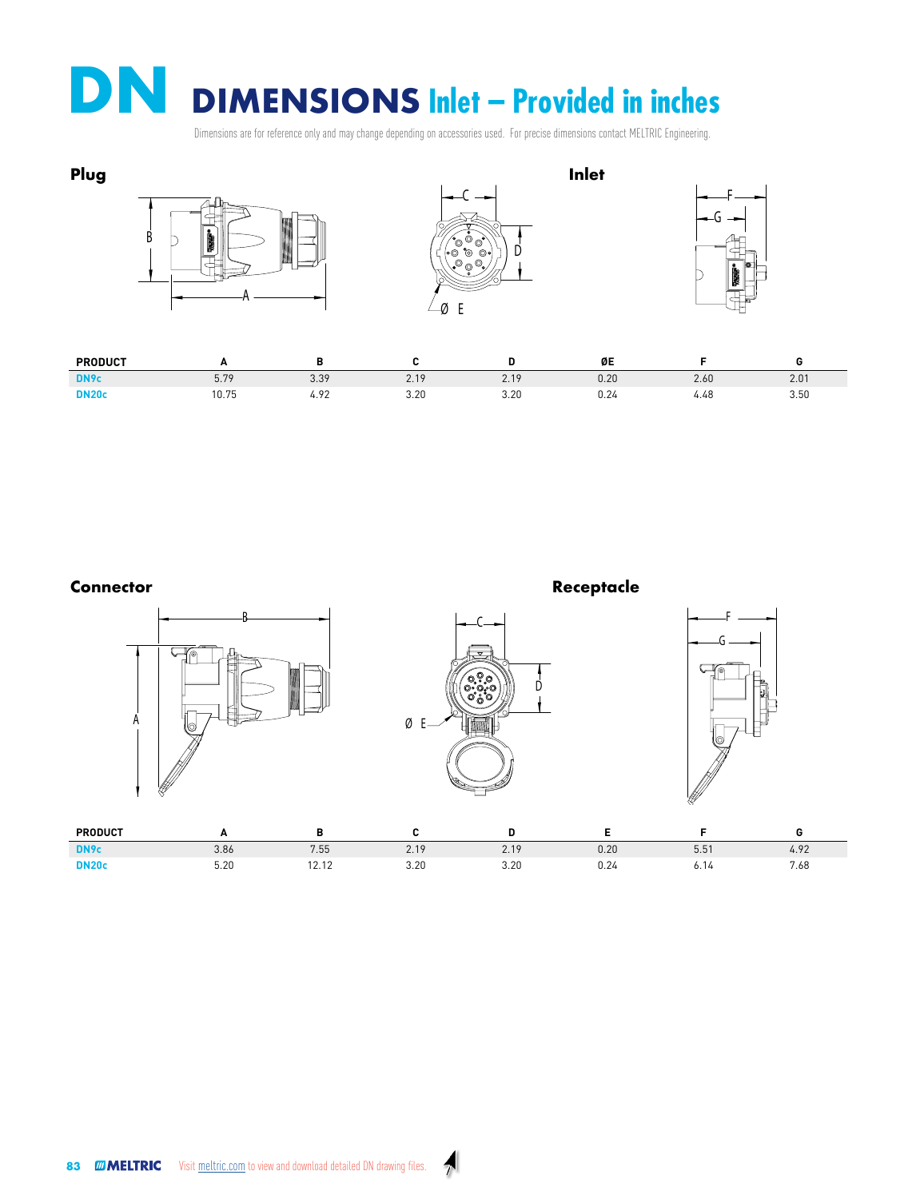**DN** DIMENSIONS Inlet – Provided in inches per and was above depending an accessive used. For proving dimensions contact MELTDIC Engineering

Dimensions are for reference only and may change depending on accessories used. For precise dimensions contact MELTRIC Engineering.<br>.





83 **MELTRIC** [Vi](http://meltric.com)sit [meltric.com](http://www.meltric.com/) to view and download detailed DN drawing files.